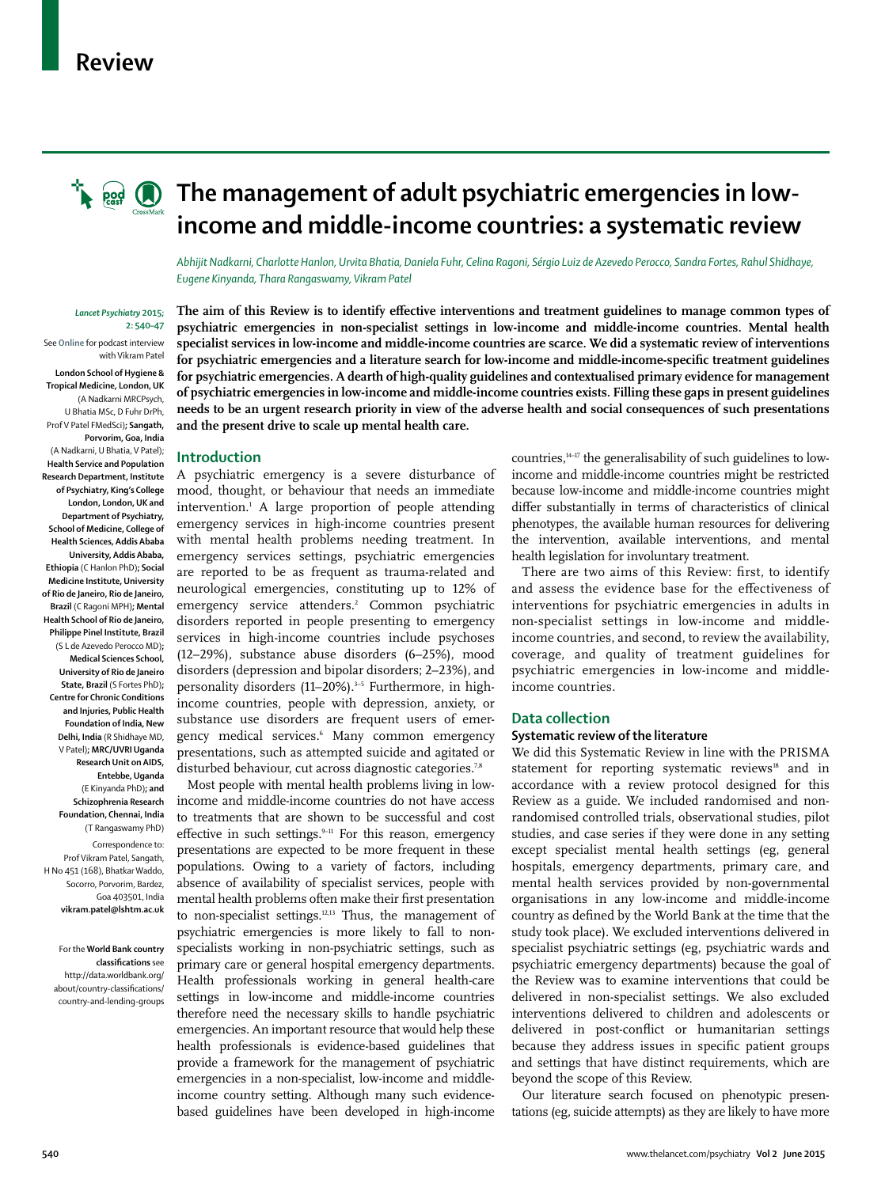## **Review**



# $\mathbf{F}_{\mathbf{k}}$  **and**  $\mathbf{F}$  **. The management of adult psychiatric emergencies in lowincome and middle-income countries: a systematic review**

*Abhijit Nadkarni, Charlotte Hanlon, Urvita Bhatia, Daniela Fuhr, Celina Ragoni, Sérgio Luiz de Azevedo Perocco, Sandra Fortes, Rahul Shidhaye, Eugene Kinyanda, Thara Rangaswamy, Vikram Patel*

#### *Lancet Psychiatry* **2015; 2: 540–47**

See **Online** for podcast interview with Vikram Patel

**London School of Hygiene & Tropical Medicine, London, UK** (A Nadkarni MRCPsych, U Bhatia MSc, D Fuhr DrPh, Prof V Patel FMedSci)**; Sangath, Porvorim, Goa, India** (A Nadkarni, U Bhatia, V Patel); **Health Service and Population Research Department, Institute of Psychiatry, King's College London, London, UK and Department of Psychiatry, School of Medicine, College of Health Sciences, Addis Ababa University, Addis Ababa, Ethiopia** (C Hanlon PhD)**; Social Medicine Institute, University of Rio de Janeiro, Rio de Janeiro, Brazil** (C Ragoni MPH)**; Mental Health School of Rio de Janeiro, Philippe Pinel Institute, Brazil**  (S L de Azevedo Perocco MD)**; Medical Sciences School, University of Rio de Janeiro State, Brazil** (S Fortes PhD)**; Centre for Chronic Conditions and Injuries, Public Health Foundation of India, New Delhi, India** (R Shidhaye MD, V Patel)**; MRC/UVRI Uganda Research Unit on AIDS, Entebbe, Uganda** (E Kinyanda PhD)**; and Schizophrenia Research** 

**Foundation, Chennai, India** (T Rangaswamy PhD)

Correspondence to: Prof Vikram Patel, Sangath, H No 451 (168), Bhatkar Waddo, Socorro, Porvorim, Bardez, Goa 403501, India **vikram.patel@lshtm.ac.uk**

## For the **World Bank country**

**classifi cations** see http://data.worldbank.org/ about/country-classifications/ country-and-lending-groups The aim of this Review is to identify effective interventions and treatment guidelines to manage common types of **psychiatric emergencies in non-specialist settings in low-income and middle-income countries. Mental health specialist services in low-income and middle-income countries are scarce. We did a systematic review of interventions**  for psychiatric emergencies and a literature search for low-income and middle-income-specific treatment guidelines **for psychiatric emergencies. A dearth of high-quality guidelines and contextualised primary evidence for management of psychiatric emergencies in low-income and middle-income countries exists. Filling these gaps in present guidelines needs to be an urgent research priority in view of the adverse health and social consequences of such presentations and the present drive to scale up mental health care.**

### **Introduction**

A psychiatric emergency is a severe disturbance of mood, thought, or behaviour that needs an immediate intervention.1 A large proportion of people attending emergency services in high-income countries present with mental health problems needing treatment. In emergency services settings, psychiatric emergencies are reported to be as frequent as trauma-related and neurological emergencies, constituting up to 12% of emergency service attenders.2 Common psychiatric disorders reported in people presenting to emergency services in high-income countries include psychoses (12–29%), substance abuse disorders (6–25%), mood disorders (depression and bipolar disorders; 2–23%), and personality disorders (11–20%).<sup>3-5</sup> Furthermore, in highincome countries, people with depression, anxiety, or substance use disorders are frequent users of emergency medical services.6 Many common emergency presentations, such as attempted suicide and agitated or disturbed behaviour, cut across diagnostic categories.<sup>7,8</sup>

Most people with mental health problems living in lowincome and middle-income countries do not have access to treatments that are shown to be successful and cost effective in such settings. $9-11$  For this reason, emergency presentations are expected to be more frequent in these populations. Owing to a variety of factors, including absence of availability of specialist services, people with mental health problems often make their first presentation to non-specialist settings.<sup>12,13</sup> Thus, the management of psychiatric emergencies is more likely to fall to nonspecialists working in non-psychiatric settings, such as primary care or general hospital emergency departments. Health professionals working in general health-care settings in low-income and middle-income countries therefore need the necessary skills to handle psychiatric emergencies. An important resource that would help these health professionals is evidence-based guidelines that provide a framework for the management of psychiatric emergencies in a non-specialist, low-income and middleincome country setting. Although many such evidencebased guidelines have been developed in high-income countries,14–17 the generalisability of such guidelines to lowincome and middle-income countries might be restricted because low-income and middle-income countries might differ substantially in terms of characteristics of clinical phenotypes, the available human resources for delivering the intervention, available interventions, and mental health legislation for involuntary treatment.

There are two aims of this Review: first, to identify and assess the evidence base for the effectiveness of interventions for psychiatric emergencies in adults in non-specialist settings in low-income and middleincome countries, and second, to review the availability, coverage, and quality of treatment guidelines for psychiatric emergencies in low-income and middleincome countries.

#### **Data collection**

#### **Systematic review of the literature**

We did this Systematic Review in line with the PRISMA statement for reporting systematic reviews<sup>18</sup> and in accordance with a review protocol designed for this Review as a guide. We included randomised and nonrandomised controlled trials, observational studies, pilot studies, and case series if they were done in any setting except specialist mental health settings (eg, general hospitals, emergency departments, primary care, and mental health services provided by non-governmental organisations in any low-income and middle-income country as defined by the World Bank at the time that the study took place). We excluded interventions delivered in specialist psychiatric settings (eg, psychiatric wards and psychiatric emergency departments) because the goal of the Review was to examine interventions that could be delivered in non-specialist settings. We also excluded interventions delivered to children and adolescents or delivered in post-conflict or humanitarian settings because they address issues in specific patient groups and settings that have distinct requirements, which are beyond the scope of this Review.

Our literature search focused on phenotypic presentations (eg, suicide attempts) as they are likely to have more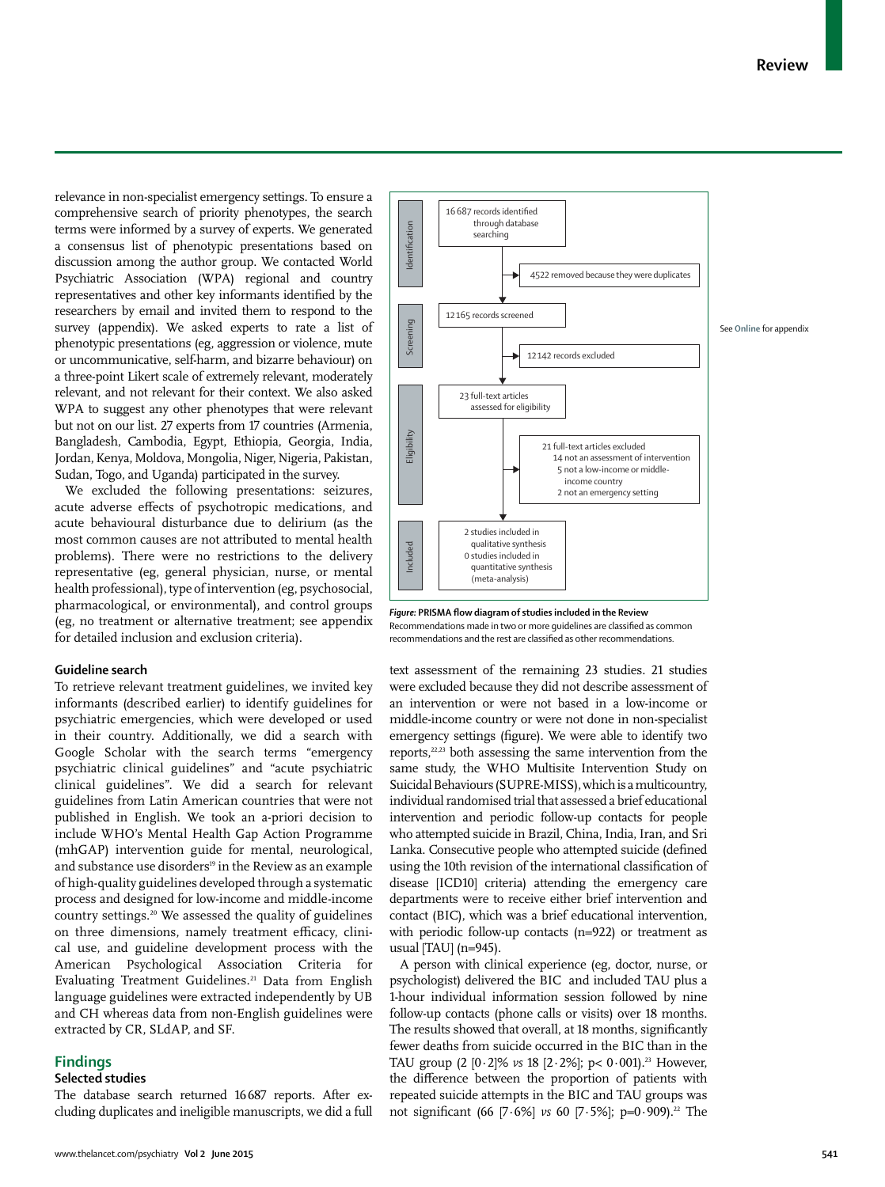relevance in non-specialist emergency settings. To ensure a comprehensive search of priority phenotypes, the search terms were informed by a survey of experts. We generated a consensus list of phenotypic presentations based on discussion among the author group. We contacted World Psychiatric Association (WPA) regional and country representatives and other key informants identified by the researchers by email and invited them to respond to the survey (appendix). We asked experts to rate a list of phenotypic presentations (eg, aggression or violence, mute or uncommunicative, self-harm, and bizarre behaviour) on a three-point Likert scale of extremely relevant, moderately relevant, and not relevant for their context. We also asked WPA to suggest any other phenotypes that were relevant but not on our list. 27 experts from 17 countries (Armenia, Bangladesh, Cambodia, Egypt, Ethiopia, Georgia, India, Jordan, Kenya, Moldova, Mongolia, Niger, Nigeria, Pakistan, Sudan, Togo, and Uganda) participated in the survey.

We excluded the following presentations: seizures, acute adverse effects of psychotropic medications, and acute behavioural disturbance due to delirium (as the most common causes are not attributed to mental health problems). There were no restrictions to the delivery representative (eg, general physician, nurse, or mental health professional), type of intervention (eg, psychosocial, pharmacological, or environmental), and control groups (eg, no treatment or alternative treatment; see appendix for detailed inclusion and exclusion criteria).

### **Guideline search**

To retrieve relevant treatment guidelines, we invited key informants (described earlier) to identify guidelines for psychiatric emergencies, which were developed or used in their country. Additionally, we did a search with Google Scholar with the search terms "emergency psychiatric clinical guidelines" and "acute psychiatric clinical guidelines". We did a search for relevant guidelines from Latin American countries that were not published in English. We took an a-priori decision to include WHO's Mental Health Gap Action Programme (mhGAP) intervention guide for mental, neurological, and substance use disorders<sup>19</sup> in the Review as an example of high-quality guidelines developed through a systematic process and designed for low-income and middle-income country settings.20 We assessed the quality of guidelines on three dimensions, namely treatment efficacy, clinical use, and guideline development process with the American Psychological Association Criteria for Evaluating Treatment Guidelines.<sup>21</sup> Data from English language guidelines were extracted independently by UB and CH whereas data from non-English guidelines were extracted by CR, SLdAP, and SF.

### **Findings**

### **Selected studies**

The database search returned 16 687 reports. After excluding duplicates and ineligible manuscripts, we did a full



**Figure: PRISMA flow diagram of studies included in the Review** Recommendations made in two or more quidelines are classified as common recommendations and the rest are classified as other recommendations.

text assessment of the remaining 23 studies. 21 studies were excluded because they did not describe assessment of an intervention or were not based in a low-income or middle-income country or were not done in non-specialist emergency settings (figure). We were able to identify two reports,22,23 both assessing the same intervention from the same study, the WHO Multisite Intervention Study on Suicidal Behaviours (SUPRE-MISS), which is a multicountry, individual randomised trial that assessed a brief educational intervention and periodic follow-up contacts for people who attempted suicide in Brazil, China, India, Iran, and Sri Lanka. Consecutive people who attempted suicide (defined using the 10th revision of the international classification of disease [ICD10] criteria) attending the emergency care departments were to receive either brief intervention and contact (BIC), which was a brief educational intervention, with periodic follow-up contacts (n=922) or treatment as usual [TAU] (n=945).

A person with clinical experience (eg, doctor, nurse, or psychologist) delivered the BIC and included TAU plus a 1-hour individual information session followed by nine follow-up contacts (phone calls or visits) over 18 months. The results showed that overall, at 18 months, significantly fewer deaths from suicide occurred in the BIC than in the TAU group  $(2 \; [0.2] \% \text{ vs } 18 \; [2.2\%]; \text{ p} < 0.001$ ).<sup>23</sup> However, the difference between the proportion of patients with repeated suicide attempts in the BIC and TAU groups was not significant (66 [7·6%] *vs* 60 [7·5%]; p=0·909).<sup>22</sup> The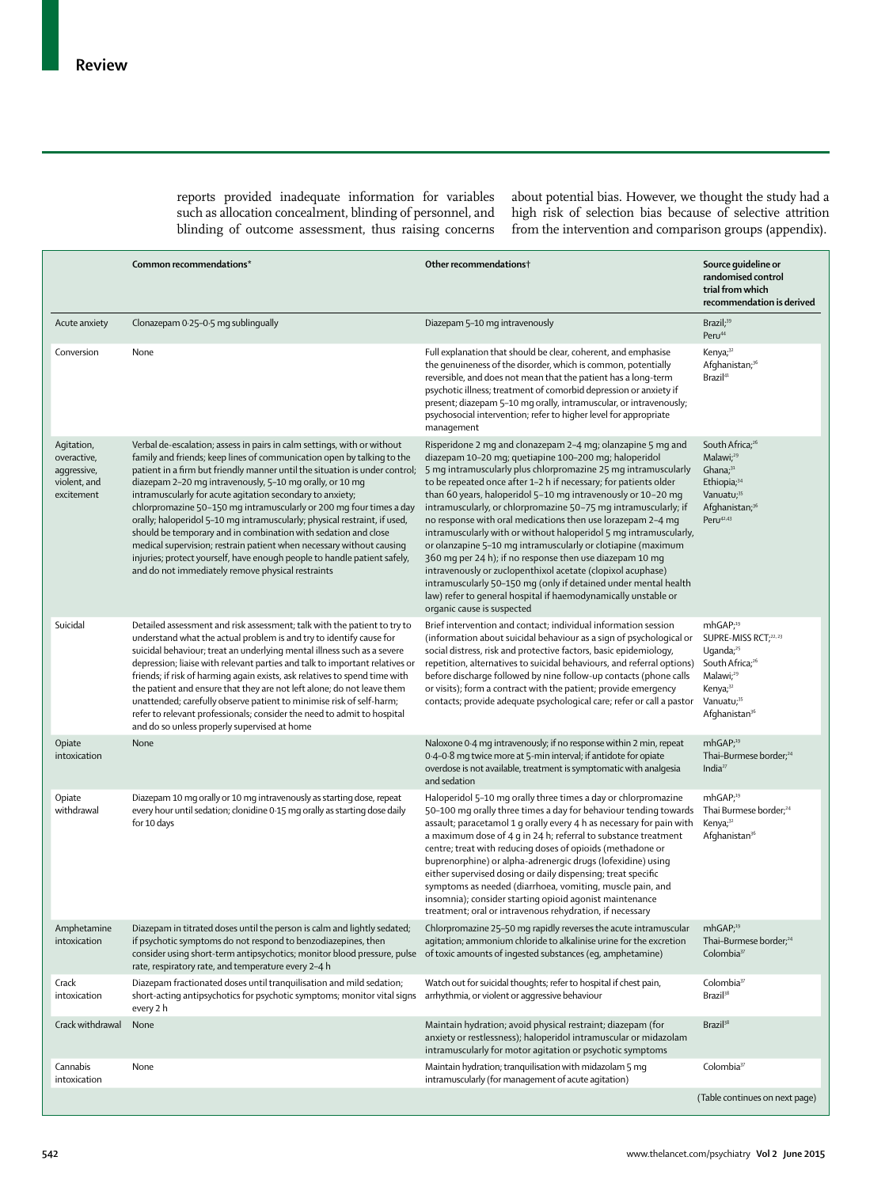reports provided inadequate information for variables such as allocation concealment, blinding of personnel, and blinding of outcome assessment, thus raising concerns

about potential bias. However, we thought the study had a high risk of selection bias because of selective attrition from the intervention and comparison groups (appendix).

|                                                                        | Common recommendations*                                                                                                                                                                                                                                                                                                                                                                                                                                                                                                                                                                                                                                                                                                                                                                  | Other recommendations†                                                                                                                                                                                                                                                                                                                                                                                                                                                                                                                                                                                                                                                                                                                                                                                                                                                                          | Source guideline or<br>randomised control<br>trial from which<br>recommendation is derived                                                                                                              |
|------------------------------------------------------------------------|------------------------------------------------------------------------------------------------------------------------------------------------------------------------------------------------------------------------------------------------------------------------------------------------------------------------------------------------------------------------------------------------------------------------------------------------------------------------------------------------------------------------------------------------------------------------------------------------------------------------------------------------------------------------------------------------------------------------------------------------------------------------------------------|-------------------------------------------------------------------------------------------------------------------------------------------------------------------------------------------------------------------------------------------------------------------------------------------------------------------------------------------------------------------------------------------------------------------------------------------------------------------------------------------------------------------------------------------------------------------------------------------------------------------------------------------------------------------------------------------------------------------------------------------------------------------------------------------------------------------------------------------------------------------------------------------------|---------------------------------------------------------------------------------------------------------------------------------------------------------------------------------------------------------|
| Acute anxiety                                                          | Clonazepam 0.25-0.5 mg sublingually                                                                                                                                                                                                                                                                                                                                                                                                                                                                                                                                                                                                                                                                                                                                                      | Diazepam 5-10 mg intravenously                                                                                                                                                                                                                                                                                                                                                                                                                                                                                                                                                                                                                                                                                                                                                                                                                                                                  | Brazil; $39$<br>Peru <sup>44</sup>                                                                                                                                                                      |
| Conversion                                                             | None                                                                                                                                                                                                                                                                                                                                                                                                                                                                                                                                                                                                                                                                                                                                                                                     | Full explanation that should be clear, coherent, and emphasise<br>the genuineness of the disorder, which is common, potentially<br>reversible, and does not mean that the patient has a long-term<br>psychotic illness; treatment of comorbid depression or anxiety if<br>present; diazepam 5-10 mg orally, intramuscular, or intravenously;<br>psychosocial intervention; refer to higher level for appropriate<br>management                                                                                                                                                                                                                                                                                                                                                                                                                                                                  | Kenya; <sup>32</sup><br>Afghanistan; <sup>36</sup><br>Brazil <sup>41</sup>                                                                                                                              |
| Agitation,<br>overactive,<br>aggressive,<br>violent, and<br>excitement | Verbal de-escalation; assess in pairs in calm settings, with or without<br>family and friends; keep lines of communication open by talking to the<br>patient in a firm but friendly manner until the situation is under control;<br>diazepam 2-20 mg intravenously, 5-10 mg orally, or 10 mg<br>intramuscularly for acute agitation secondary to anxiety;<br>chlorpromazine 50-150 mg intramuscularly or 200 mg four times a day<br>orally; haloperidol 5-10 mg intramuscularly; physical restraint, if used,<br>should be temporary and in combination with sedation and close<br>medical supervision; restrain patient when necessary without causing<br>injuries; protect yourself, have enough people to handle patient safely,<br>and do not immediately remove physical restraints | Risperidone 2 mg and clonazepam 2-4 mg; olanzapine 5 mg and<br>diazepam 10-20 mg; quetiapine 100-200 mg; haloperidol<br>5 mg intramuscularly plus chlorpromazine 25 mg intramuscularly<br>to be repeated once after 1-2 h if necessary; for patients older<br>than 60 years, haloperidol 5-10 mg intravenously or 10-20 mg<br>intramuscularly, or chlorpromazine 50-75 mg intramuscularly; if<br>no response with oral medications then use lorazepam 2-4 mg<br>intramuscularly with or without haloperidol 5 mg intramuscularly,<br>or olanzapine 5-10 mg intramuscularly or clotiapine (maximum<br>360 mg per 24 h); if no response then use diazepam 10 mg<br>intravenously or zuclopenthixol acetate (clopixol acuphase)<br>intramuscularly 50-150 mg (only if detained under mental health<br>law) refer to general hospital if haemodynamically unstable or<br>organic cause is suspected | South Africa; <sup>26</sup><br>Malawi; <sup>29</sup><br>Ghana; <sup>31</sup><br>Ethiopia; <sup>34</sup><br>Vanuatu; <sup>35</sup><br>Afghanistan; <sup>36</sup><br>Peru <sup>42,43</sup>                |
| Suicidal                                                               | Detailed assessment and risk assessment; talk with the patient to try to<br>understand what the actual problem is and try to identify cause for<br>suicidal behaviour; treat an underlying mental illness such as a severe<br>depression; liaise with relevant parties and talk to important relatives or<br>friends; if risk of harming again exists, ask relatives to spend time with<br>the patient and ensure that they are not left alone; do not leave them<br>unattended; carefully observe patient to minimise risk of self-harm;<br>refer to relevant professionals; consider the need to admit to hospital<br>and do so unless properly supervised at home                                                                                                                     | Brief intervention and contact; individual information session<br>(information about suicidal behaviour as a sign of psychological or<br>social distress, risk and protective factors, basic epidemiology,<br>repetition, alternatives to suicidal behaviours, and referral options)<br>before discharge followed by nine follow-up contacts (phone calls<br>or visits); form a contract with the patient; provide emergency<br>contacts; provide adequate psychological care; refer or call a pastor                                                                                                                                                                                                                                                                                                                                                                                           | mhGAP; <sup>19</sup><br>SUPRE-MISS RCT;22, 23<br>Uqanda; $^{25}$<br>South Africa; <sup>26</sup><br>Malawi; <sup>29</sup><br>Kenya; <sup>32</sup><br>Vanuatu; <sup>35</sup><br>Afghanistan <sup>36</sup> |
| Opiate<br>intoxication                                                 | None                                                                                                                                                                                                                                                                                                                                                                                                                                                                                                                                                                                                                                                                                                                                                                                     | Naloxone 0.4 mg intravenously; if no response within 2 min, repeat<br>0-4-0-8 mg twice more at 5-min interval; if antidote for opiate<br>overdose is not available, treatment is symptomatic with analgesia<br>and sedation                                                                                                                                                                                                                                                                                                                                                                                                                                                                                                                                                                                                                                                                     | $mhGAP;^{19}$<br>Thai-Burmese border; <sup>24</sup><br>India $27$                                                                                                                                       |
| Opiate<br>withdrawal                                                   | Diazepam 10 mg orally or 10 mg intravenously as starting dose, repeat<br>every hour until sedation; clonidine 0.15 mg orally as starting dose daily<br>for 10 days                                                                                                                                                                                                                                                                                                                                                                                                                                                                                                                                                                                                                       | Haloperidol 5-10 mg orally three times a day or chlorpromazine<br>50-100 mg orally three times a day for behaviour tending towards<br>assault; paracetamol 1 q orally every 4 h as necessary for pain with<br>a maximum dose of 4 g in 24 h; referral to substance treatment<br>centre; treat with reducing doses of opioids (methadone or<br>buprenorphine) or alpha-adrenergic drugs (lofexidine) using<br>either supervised dosing or daily dispensing; treat specific<br>symptoms as needed (diarrhoea, vomiting, muscle pain, and<br>insomnia); consider starting opioid agonist maintenance<br>treatment; oral or intravenous rehydration, if necessary                                                                                                                                                                                                                                   | $mhGAP;^{19}$<br>Thai Burmese border; <sup>24</sup><br>Kenya; <sup>32</sup><br>Afghanistan <sup>36</sup>                                                                                                |
| Amphetamine<br>intoxication                                            | Diazepam in titrated doses until the person is calm and lightly sedated;<br>if psychotic symptoms do not respond to benzodiazepines, then<br>consider using short-term antipsychotics; monitor blood pressure, pulse<br>rate, respiratory rate, and temperature every 2-4 h                                                                                                                                                                                                                                                                                                                                                                                                                                                                                                              | Chlorpromazine 25-50 mg rapidly reverses the acute intramuscular<br>agitation; ammonium chloride to alkalinise urine for the excretion<br>of toxic amounts of ingested substances (eq, amphetamine)                                                                                                                                                                                                                                                                                                                                                                                                                                                                                                                                                                                                                                                                                             | mhGAP; <sup>19</sup><br>Thai-Burmese border; <sup>24</sup><br>Colombia <sup>37</sup>                                                                                                                    |
| Crack<br>intoxication                                                  | Diazepam fractionated doses until tranquilisation and mild sedation;<br>short-acting antipsychotics for psychotic symptoms; monitor vital signs<br>every 2 h                                                                                                                                                                                                                                                                                                                                                                                                                                                                                                                                                                                                                             | Watch out for suicidal thoughts; refer to hospital if chest pain,<br>arrhythmia, or violent or aggressive behaviour                                                                                                                                                                                                                                                                                                                                                                                                                                                                                                                                                                                                                                                                                                                                                                             | Colombia <sup>37</sup><br>Brazil <sup>38</sup>                                                                                                                                                          |
| Crack withdrawal                                                       | None                                                                                                                                                                                                                                                                                                                                                                                                                                                                                                                                                                                                                                                                                                                                                                                     | Maintain hydration; avoid physical restraint; diazepam (for<br>anxiety or restlessness); haloperidol intramuscular or midazolam<br>intramuscularly for motor agitation or psychotic symptoms                                                                                                                                                                                                                                                                                                                                                                                                                                                                                                                                                                                                                                                                                                    | Brazil <sup>38</sup>                                                                                                                                                                                    |
| Cannabis<br>intoxication                                               | None                                                                                                                                                                                                                                                                                                                                                                                                                                                                                                                                                                                                                                                                                                                                                                                     | Maintain hydration; tranquilisation with midazolam 5 mg<br>intramuscularly (for management of acute agitation)                                                                                                                                                                                                                                                                                                                                                                                                                                                                                                                                                                                                                                                                                                                                                                                  | Colombia <sup>37</sup>                                                                                                                                                                                  |
|                                                                        |                                                                                                                                                                                                                                                                                                                                                                                                                                                                                                                                                                                                                                                                                                                                                                                          |                                                                                                                                                                                                                                                                                                                                                                                                                                                                                                                                                                                                                                                                                                                                                                                                                                                                                                 | (Table continues on next page)                                                                                                                                                                          |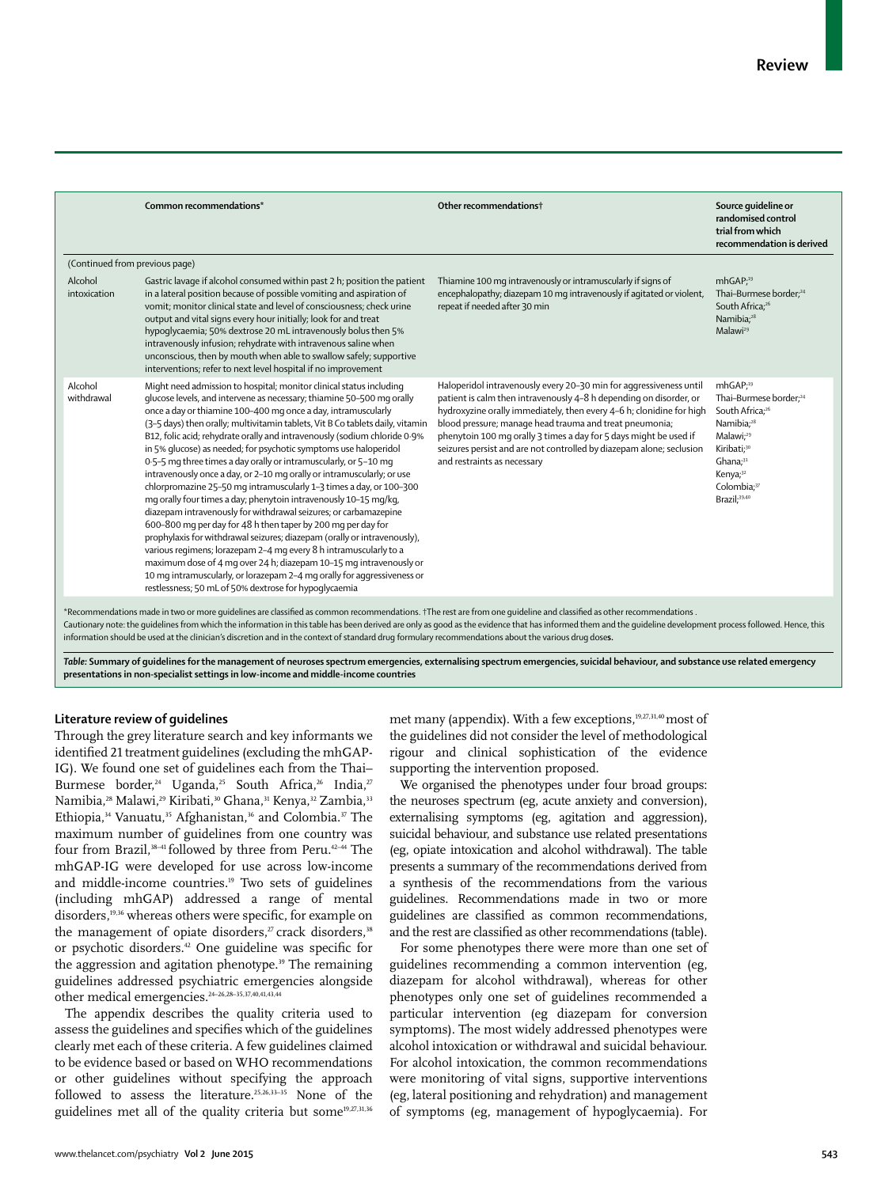|                         | Common recommendations*                                                                                                                                                                                                                                                                                                                                                                                                                                                                                                                                                                                                                                                                                                                                                                                                                                                                                                                                                                                                                                                                                                                                                                                                                 | Other recommendations <sup>†</sup>                                                                                                                                                                                                                                                                                                                                                                                                                      | Source quideline or<br>randomised control<br>trial from which<br>recommendation is derived                                                                                                                                                                                     |
|-------------------------|-----------------------------------------------------------------------------------------------------------------------------------------------------------------------------------------------------------------------------------------------------------------------------------------------------------------------------------------------------------------------------------------------------------------------------------------------------------------------------------------------------------------------------------------------------------------------------------------------------------------------------------------------------------------------------------------------------------------------------------------------------------------------------------------------------------------------------------------------------------------------------------------------------------------------------------------------------------------------------------------------------------------------------------------------------------------------------------------------------------------------------------------------------------------------------------------------------------------------------------------|---------------------------------------------------------------------------------------------------------------------------------------------------------------------------------------------------------------------------------------------------------------------------------------------------------------------------------------------------------------------------------------------------------------------------------------------------------|--------------------------------------------------------------------------------------------------------------------------------------------------------------------------------------------------------------------------------------------------------------------------------|
|                         | (Continued from previous page)                                                                                                                                                                                                                                                                                                                                                                                                                                                                                                                                                                                                                                                                                                                                                                                                                                                                                                                                                                                                                                                                                                                                                                                                          |                                                                                                                                                                                                                                                                                                                                                                                                                                                         |                                                                                                                                                                                                                                                                                |
| Alcohol<br>intoxication | Gastric lavage if alcohol consumed within past 2 h; position the patient<br>in a lateral position because of possible vomiting and aspiration of<br>vomit; monitor clinical state and level of consciousness; check urine<br>output and vital signs every hour initially; look for and treat<br>hypoqlycaemia; 50% dextrose 20 mL intravenously bolus then 5%<br>intravenously infusion; rehydrate with intravenous saline when<br>unconscious, then by mouth when able to swallow safely; supportive<br>interventions; refer to next level hospital if no improvement                                                                                                                                                                                                                                                                                                                                                                                                                                                                                                                                                                                                                                                                  | Thiamine 100 mg intravenously or intramuscularly if signs of<br>encephalopathy; diazepam 10 mg intravenously if agitated or violent,<br>repeat if needed after 30 min                                                                                                                                                                                                                                                                                   | mhGAP:19<br>Thai-Burmese border; <sup>24</sup><br>South Africa; <sup>26</sup><br>Namibia; <sup>28</sup><br>Malawi <sup>29</sup>                                                                                                                                                |
| Alcohol<br>withdrawal   | Might need admission to hospital; monitor clinical status including<br>glucose levels, and intervene as necessary; thiamine 50-500 mg orally<br>once a day or thiamine 100-400 mg once a day, intramuscularly<br>(3-5 days) then orally; multivitamin tablets, Vit B Co tablets daily, vitamin<br>B12, folic acid; rehydrate orally and intravenously (sodium chloride 0.9%<br>in 5% glucose) as needed; for psychotic symptoms use haloperidol<br>0.5-5 mg three times a day orally or intramuscularly, or 5-10 mg<br>intravenously once a day, or 2-10 mg orally or intramuscularly; or use<br>chlorpromazine 25-50 mg intramuscularly 1-3 times a day, or 100-300<br>mq orally four times a day; phenytoin intravenously 10-15 mq/kq,<br>diazepam intravenously for withdrawal seizures; or carbamazepine<br>600-800 mg per day for 48 h then taper by 200 mg per day for<br>prophylaxis for withdrawal seizures; diazepam (orally or intravenously),<br>various regimens; lorazepam 2-4 mg every 8 h intramuscularly to a<br>maximum dose of 4 mg over 24 h; diazepam 10-15 mg intravenously or<br>10 mg intramuscularly, or lorazepam 2-4 mg orally for aggressiveness or<br>restlessness; 50 mL of 50% dextrose for hypoglycaemia | Haloperidol intravenously every 20-30 min for aggressiveness until<br>patient is calm then intravenously 4-8 h depending on disorder, or<br>hydroxyzine orally immediately, then every 4-6 h; clonidine for high<br>blood pressure; manage head trauma and treat pneumonia;<br>phenytoin 100 mg orally 3 times a day for 5 days might be used if<br>seizures persist and are not controlled by diazepam alone; seclusion<br>and restraints as necessary | mhGAP; <sup>19</sup><br>Thai-Burmese border; <sup>24</sup><br>South Africa; <sup>26</sup><br>Namibia; <sup>28</sup><br>Malawi; <sup>29</sup><br>Kiribati; <sup>30</sup><br>Ghana; <sup>31</sup><br>Kenya; <sup>32</sup><br>Colombia; <sup>37</sup><br>Brazil; <sup>39,40</sup> |

*Table:* **Summary of guidelines for the management of neuroses spectrum emergencies, externalising spectrum emergencies, suicidal behaviour, and substance use related emergency presentations in non-specialist settings in low-income and middle-income countries**

## **Literature review of guidelines**

Through the grey literature search and key informants we identified 21 treatment guidelines (excluding the mhGAP-IG). We found one set of guidelines each from the Thai– Burmese border,<sup>24</sup> Uganda,<sup>25</sup> South Africa,<sup>26</sup> India,<sup>27</sup> Namibia,<sup>28</sup> Malawi,<sup>29</sup> Kiribati,<sup>30</sup> Ghana,<sup>31</sup> Kenya,<sup>32</sup> Zambia,<sup>33</sup> Ethiopia,<sup>34</sup> Vanuatu,<sup>35</sup> Afghanistan,<sup>36</sup> and Colombia.<sup>37</sup> The maximum number of guidelines from one country was four from Brazil,<sup>38-41</sup> followed by three from Peru.<sup>42-44</sup> The mhGAP-IG were developed for use across low-income and middle-income countries.19 Two sets of guidelines (including mhGAP) addressed a range of mental disorders,<sup>19,36</sup> whereas others were specific, for example on the management of opiate disorders,<sup>27</sup> crack disorders,<sup>38</sup> or psychotic disorders.<sup>42</sup> One guideline was specific for the aggression and agitation phenotype.<sup>39</sup> The remaining guidelines addressed psychiatric emergencies alongside other medical emergencies.24–26,28–35,37,40,41,43,44

The appendix describes the quality criteria used to assess the guidelines and specifies which of the guidelines clearly met each of these criteria. A few guidelines claimed to be evidence based or based on WHO recommendations or other guidelines without specifying the approach followed to assess the literature.<sup>25,26,33–35</sup> None of the guidelines met all of the quality criteria but some<sup>19,27,31,36</sup> met many (appendix). With a few exceptions,<sup>19,27,31,40</sup> most of the guidelines did not consider the level of methodological rigour and clinical sophistication of the evidence supporting the intervention proposed.

We organised the phenotypes under four broad groups: the neuroses spectrum (eg, acute anxiety and conversion), externalising symptoms (eg, agitation and aggression), suicidal behaviour, and substance use related presentations (eg, opiate intoxication and alcohol withdrawal). The table presents a summary of the recommendations derived from a synthesis of the recommendations from the various guidelines. Recommendations made in two or more guidelines are classified as common recommendations, and the rest are classified as other recommendations (table).

For some phenotypes there were more than one set of guidelines recommending a common intervention (eg, diazepam for alcohol withdrawal), whereas for other phenotypes only one set of guidelines recommended a particular intervention (eg diazepam for conversion symptoms). The most widely addressed phenotypes were alcohol intoxication or withdrawal and suicidal behaviour. For alcohol intoxication, the common recommendations were monitoring of vital signs, supportive interventions (eg, lateral positioning and rehydration) and management of symptoms (eg, management of hypoglycaemia). For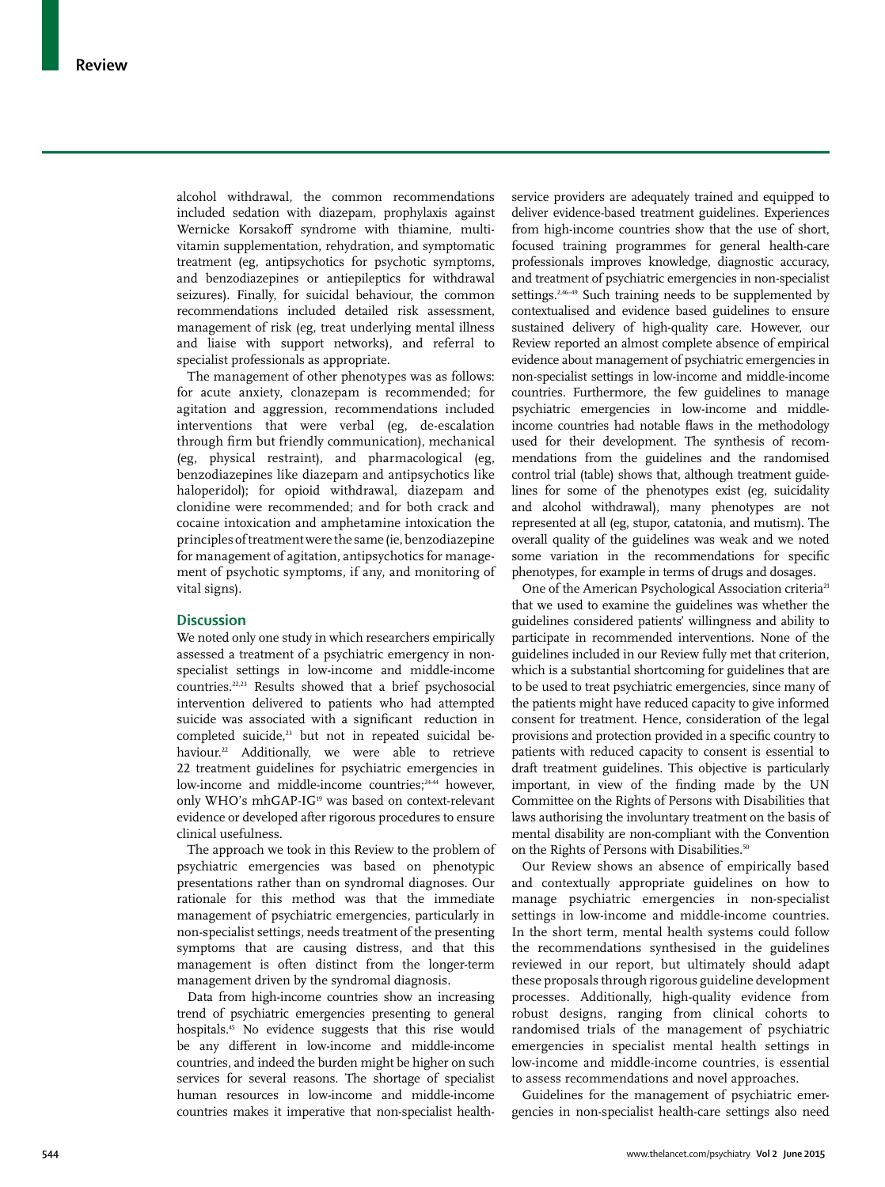alcohol withdrawal, the common recommendations included sedation with diazepam, prophylaxis against Wernicke Korsakoff syndrome with thiamine, multivitamin supplementation, rehydration, and symptomatic treatment (eg, antipsychotics for psychotic symptoms, and benzodiazepines or antiepileptics for withdrawal seizures). Finally, for suicidal behaviour, the common recommendations included detailed risk assessment, management of risk (eg, treat underlying mental illness and liaise with support networks), and referral to specialist professionals as appropriate.

The management of other phenotypes was as follows: for acute anxiety, clonazepam is recommended; for agitation and aggression, recommendations included interventions that were verbal (eg, de-escalation through firm but friendly communication), mechanical (eg, physical restraint), and pharmacological (eg, benzodiazepines like diazepam and antipsychotics like haloperidol); for opioid withdrawal, diazepam and clonidine were recommended; and for both crack and cocaine intoxication and amphetamine intoxication the principles of treatment were the same (ie, benzodiazepine for management of agitation, antipsychotics for management of psychotic symptoms, if any, and monitoring of vital signs).

#### **Discussion**

We noted only one study in which researchers empirically assessed a treatment of a psychiatric emergency in nonspecialist settings in low-income and middle-income countries.22,23 Results showed that a brief psychosocial intervention delivered to patients who had attempted suicide was associated with a significant reduction in completed suicide,<sup>23</sup> but not in repeated suicidal behaviour.<sup>22</sup> Additionally, we were able to retrieve 22 treatment guidelines for psychiatric emergencies in low-income and middle-income countries;<sup>2444</sup> however, only WHO's mhGAP-IG<sup>19</sup> was based on context-relevant evidence or developed after rigorous procedures to ensure clinical usefulness.

The approach we took in this Review to the problem of psychiatric emergencies was based on phenotypic presentations rather than on syndromal diagnoses. Our rationale for this method was that the immediate management of psychiatric emergencies, particularly in non-specialist settings, needs treatment of the presenting symptoms that are causing distress, and that this management is often distinct from the longer-term management driven by the syndromal diagnosis.

Data from high-income countries show an increasing trend of psychiatric emergencies presenting to general hospitals.<sup>45</sup> No evidence suggests that this rise would be any different in low-income and middle-income countries, and indeed the burden might be higher on such services for several reasons. The shortage of specialist human resources in low-income and middle-income countries makes it imperative that non-specialist healthservice providers are adequately trained and equipped to deliver evidence-based treatment guidelines. Experiences from high-income countries show that the use of short, focused training programmes for general health-care professionals improves knowledge, diagnostic accuracy, and treatment of psychiatric emergencies in non-specialist settings.<sup>2,46-49</sup> Such training needs to be supplemented by contextualised and evidence based guidelines to ensure sustained delivery of high-quality care. However, our Review reported an almost complete absence of empirical evidence about management of psychiatric emergencies in non-specialist settings in low-income and middle-income countries. Furthermore, the few guidelines to manage psychiatric emergencies in low-income and middleincome countries had notable flaws in the methodology used for their development. The synthesis of recommendations from the guidelines and the randomised control trial (table) shows that, although treatment guidelines for some of the phenotypes exist (eg, suicidality and alcohol withdrawal), many phenotypes are not represented at all (eg, stupor, catatonia, and mutism). The overall quality of the guidelines was weak and we noted some variation in the recommendations for specific phenotypes, for example in terms of drugs and dosages.

One of the American Psychological Association criteria<sup>21</sup> that we used to examine the guidelines was whether the guidelines considered patients' willingness and ability to participate in recommended interventions. None of the guidelines included in our Review fully met that criterion, which is a substantial shortcoming for guidelines that are to be used to treat psychiatric emergencies, since many of the patients might have reduced capacity to give informed consent for treatment. Hence, consideration of the legal provisions and protection provided in a specific country to patients with reduced capacity to consent is essential to draft treatment guidelines. This objective is particularly important, in view of the finding made by the UN Committee on the Rights of Persons with Disabilities that laws authorising the involuntary treatment on the basis of mental disability are non-compliant with the Convention on the Rights of Persons with Disabilities.<sup>50</sup>

Our Review shows an absence of empirically based and contextually appropriate guidelines on how to manage psychiatric emergencies in non-specialist settings in low-income and middle-income countries. In the short term, mental health systems could follow the recommendations synthesised in the guidelines reviewed in our report, but ultimately should adapt these proposals through rigorous guideline development processes. Additionally, high-quality evidence from robust designs, ranging from clinical cohorts to randomised trials of the management of psychiatric emergencies in specialist mental health settings in low-income and middle-income countries, is essential to assess recommendations and novel approaches.

Guidelines for the management of psychiatric emergencies in non-specialist health-care settings also need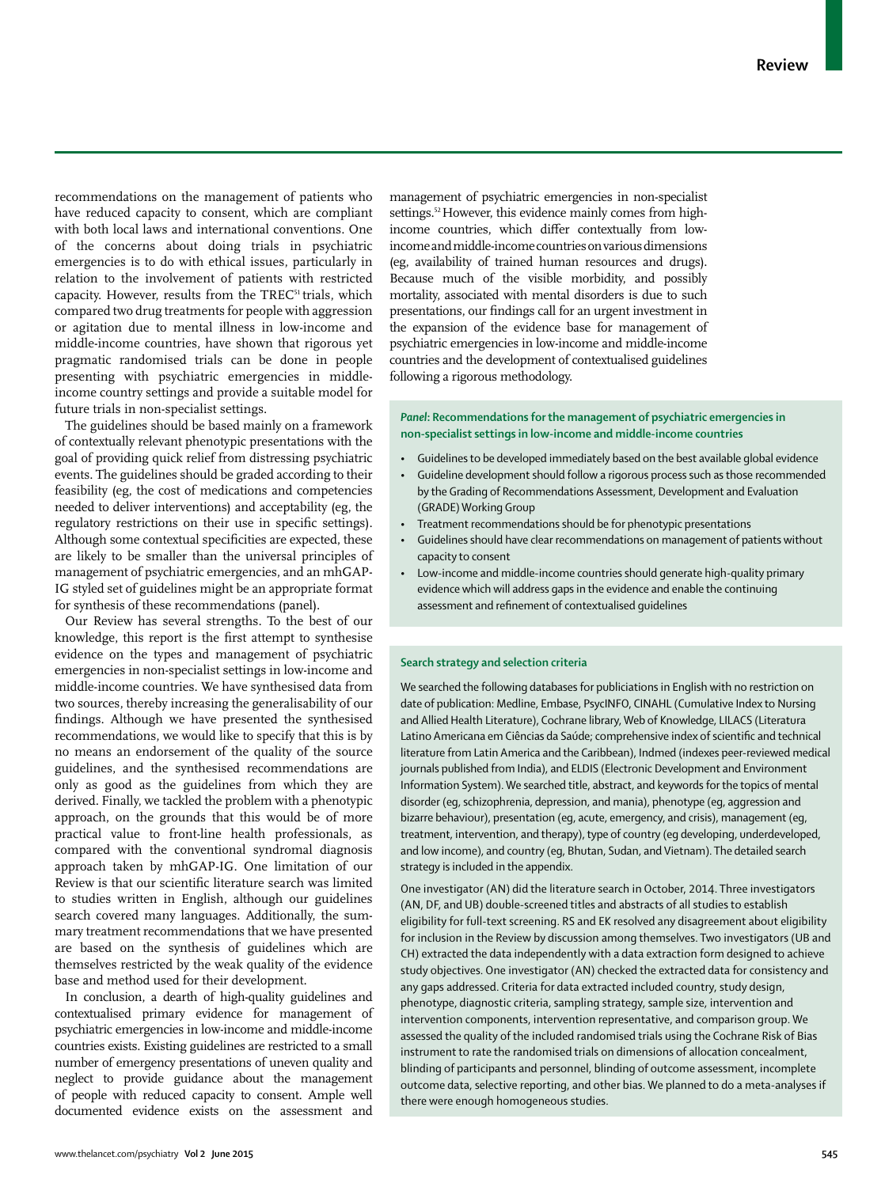recommendations on the management of patients who have reduced capacity to consent, which are compliant with both local laws and international conventions. One of the concerns about doing trials in psychiatric emergencies is to do with ethical issues, particularly in relation to the involvement of patients with restricted capacity. However, results from the TREC<sup>51</sup> trials, which compared two drug treatments for people with aggression or agitation due to mental illness in low-income and middle-income countries, have shown that rigorous yet pragmatic randomised trials can be done in people presenting with psychiatric emergencies in middleincome country settings and provide a suitable model for future trials in non-specialist settings.

The guidelines should be based mainly on a framework of contextually relevant phenotypic presentations with the goal of providing quick relief from distressing psychiatric events. The guidelines should be graded according to their feasibility (eg, the cost of medications and competencies needed to deliver interventions) and acceptability (eg, the regulatory restrictions on their use in specific settings). Although some contextual specificities are expected, these are likely to be smaller than the universal principles of management of psychiatric emergencies, and an mhGAP-IG styled set of guidelines might be an appropriate format for synthesis of these recommendations (panel).

Our Review has several strengths. To the best of our knowledge, this report is the first attempt to synthesise evidence on the types and management of psychiatric emergencies in non-specialist settings in low-income and middle-income countries. We have synthesised data from two sources, thereby increasing the generalisability of our findings. Although we have presented the synthesised recommendations, we would like to specify that this is by no means an endorsement of the quality of the source guidelines, and the synthesised recommendations are only as good as the guidelines from which they are derived. Finally, we tackled the problem with a phenotypic approach, on the grounds that this would be of more practical value to front-line health professionals, as compared with the conventional syndromal diagnosis approach taken by mhGAP-IG. One limitation of our Review is that our scientific literature search was limited to studies written in English, although our guidelines search covered many languages. Additionally, the summary treatment recommendations that we have presented are based on the synthesis of guidelines which are themselves restricted by the weak quality of the evidence base and method used for their development.

In conclusion, a dearth of high-quality guidelines and contextualised primary evidence for management of psychiatric emergencies in low-income and middle-income countries exists. Existing guidelines are restricted to a small number of emergency presentations of uneven quality and neglect to provide guidance about the management of people with reduced capacity to consent. Ample well documented evidence exists on the assessment and management of psychiatric emergencies in non-specialist settings.<sup>52</sup> However, this evidence mainly comes from highincome countries, which differ contextually from lowincome and middle-income countries on various dimensions (eg, availability of trained human resources and drugs). Because much of the visible morbidity, and possibly mortality, associated with mental disorders is due to such presentations, our findings call for an urgent investment in the expansion of the evidence base for management of psychiatric emergencies in low-income and middle-income countries and the development of contextualised guidelines following a rigorous methodology.

*Panel***: Recommendations for the management of psychiatric emergencies in non-specialist settings in low-income and middle-income countries**

- Guidelines to be developed immediately based on the best available global evidence
- Guideline development should follow a rigorous process such as those recommended by the Grading of Recommendations Assessment, Development and Evaluation (GRADE) Working Group
- Treatment recommendations should be for phenotypic presentations
- Guidelines should have clear recommendations on management of patients without capacity to consent
- Low-income and middle-income countries should generate high-quality primary evidence which will address gaps in the evidence and enable the continuing assessment and refinement of contextualised quidelines

#### **Search strategy and selection criteria**

We searched the following databases for publiciations in English with no restriction on date of publication: Medline, Embase, PsycINFO, CINAHL (Cumulative Index to Nursing and Allied Health Literature), Cochrane library, Web of Knowledge, LILACS (Literatura Latino Americana em Ciências da Saúde; comprehensive index of scientific and technical literature from Latin America and the Caribbean), Indmed (indexes peer-reviewed medical journals published from India), and ELDIS (Electronic Development and Environment Information System). We searched title, abstract, and keywords for the topics of mental disorder (eg, schizophrenia, depression, and mania), phenotype (eg, aggression and bizarre behaviour), presentation (eg, acute, emergency, and crisis), management (eg, treatment, intervention, and therapy), type of country (eg developing, underdeveloped, and low income), and country (eg, Bhutan, Sudan, and Vietnam). The detailed search strategy is included in the appendix.

One investigator (AN) did the literature search in October, 2014. Three investigators (AN, DF, and UB) double-screened titles and abstracts of all studies to establish eligibility for full-text screening. RS and EK resolved any disagreement about eligibility for inclusion in the Review by discussion among themselves. Two investigators (UB and CH) extracted the data independently with a data extraction form designed to achieve study objectives. One investigator (AN) checked the extracted data for consistency and any gaps addressed. Criteria for data extracted included country, study design, phenotype, diagnostic criteria, sampling strategy, sample size, intervention and intervention components, intervention representative, and comparison group. We assessed the quality of the included randomised trials using the Cochrane Risk of Bias instrument to rate the randomised trials on dimensions of allocation concealment, blinding of participants and personnel, blinding of outcome assessment, incomplete outcome data, selective reporting, and other bias. We planned to do a meta-analyses if there were enough homogeneous studies.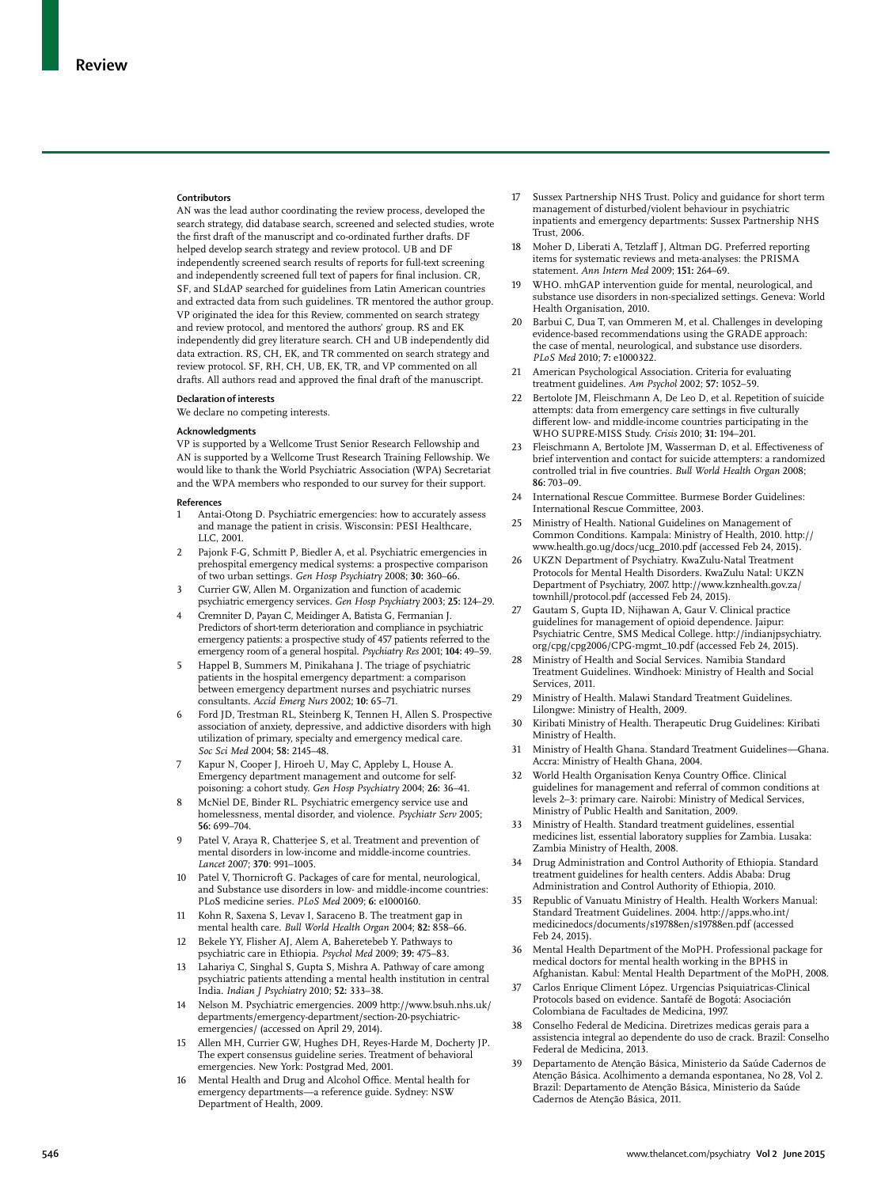#### **Contributors**

AN was the lead author coordinating the review process, developed the search strategy, did database search, screened and selected studies, wrote the first draft of the manuscript and co-ordinated further drafts. DF helped develop search strategy and review protocol. UB and DF independently screened search results of reports for full-text screening and independently screened full text of papers for final inclusion. CR, SF, and SLdAP searched for guidelines from Latin American countries and extracted data from such guidelines. TR mentored the author group. VP originated the idea for this Review, commented on search strategy and review protocol, and mentored the authors' group. RS and EK independently did grey literature search. CH and UB independently did data extraction. RS, CH, EK, and TR commented on search strategy and review protocol. SF, RH, CH, UB, EK, TR, and VP commented on all drafts. All authors read and approved the final draft of the manuscript.

#### **Declaration of interests**

We declare no competing interests.

#### **Acknowledgments**

VP is supported by a Wellcome Trust Senior Research Fellowship and AN is supported by a Wellcome Trust Research Training Fellowship. We would like to thank the World Psychiatric Association (WPA) Secretariat and the WPA members who responded to our survey for their support.

## **References**

- Antai-Otong D. Psychiatric emergencies: how to accurately assess and manage the patient in crisis. Wisconsin: PESI Healthcare, LLC, 2001.
- 2 Pajonk F-G, Schmitt P, Biedler A, et al. Psychiatric emergencies in prehospital emergency medical systems: a prospective comparison of two urban settings. *Gen Hosp Psychiatry* 2008; **30:** 360–66.
- 3 Currier GW, Allen M. Organization and function of academic psychiatric emergency services. *Gen Hosp Psychiatry* 2003; **25:** 124–29.
- 4 Cremniter D, Payan C, Meidinger A, Batista G, Fermanian J. Predictors of short-term deterioration and compliance in psychiatric emergency patients: a prospective study of 457 patients referred to the emergency room of a general hospital. *Psychiatry Res* 2001; **104:** 49–59.
- 5 Happel B, Summers M, Pinikahana J. The triage of psychiatric patients in the hospital emergency department: a comparison between emergency department nurses and psychiatric nurses consultants. *Accid Emerg Nurs* 2002; **10:** 65–71.
- 6 Ford JD, Trestman RL, Steinberg K, Tennen H, Allen S. Prospective association of anxiety, depressive, and addictive disorders with high utilization of primary, specialty and emergency medical care. *Soc Sci Med* 2004; **58:** 2145–48.
- Kapur N, Cooper J, Hiroeh U, May C, Appleby L, House A. Emergency department management and outcome for selfpoisoning: a cohort study. *Gen Hosp Psychiatry* 2004; **26:** 36–41.
- McNiel DE, Binder RL. Psychiatric emergency service use and homelessness, mental disorder, and violence. *Psychiatr Serv* 2005; **56:** 699–704.
- 9 Patel V, Araya R, Chatterjee S, et al. Treatment and prevention of mental disorders in low-income and middle-income countries. *Lancet* 2007; **370**: 991–1005.
- 10 Patel V, Thornicroft G. Packages of care for mental, neurological, and Substance use disorders in low- and middle-income countries: PLoS medicine series. *PLoS Med* 2009; **6:** e1000160.
- 11 Kohn R, Saxena S, Levav I, Saraceno B. The treatment gap in mental health care. *Bull World Health Organ* 2004; **82:** 858–66.
- 12 Bekele YY, Flisher AJ, Alem A, Baheretebeb Y. Pathways to psychiatric care in Ethiopia. *Psychol Med* 2009; **39:** 475–83.
- 13 Lahariya C, Singhal S, Gupta S, Mishra A. Pathway of care among psychiatric patients attending a mental health institution in central India. *Indian J Psychiatry* 2010; **52:** 333–38.
- 14 Nelson M. Psychiatric emergencies. 2009 http://www.bsuh.nhs.uk/ departments/emergency-department/section-20-psychiatricemergencies/ (accessed on April 29, 2014).
- 15 Allen MH, Currier GW, Hughes DH, Reyes-Harde M, Docherty JP. The expert consensus guideline series. Treatment of behavioral emergencies. New York: Postgrad Med, 2001.
- 16 Mental Health and Drug and Alcohol Office. Mental health for emergency departments—a reference guide*.* Sydney: NSW Department of Health, 2009.
- 17 Sussex Partnership NHS Trust. Policy and guidance for short term management of disturbed/violent behaviour in psychiatric inpatients and emergency departments: Sussex Partnership NHS Trust, 2006.
- 18 Moher D, Liberati A, Tetzlaff J, Altman DG. Preferred reporting items for systematic reviews and meta-analyses: the PRISMA statement. *Ann Intern Med* 2009; **151:** 264–69.
- WHO. mhGAP intervention guide for mental, neurological, and substance use disorders in non-specialized settings. Geneva: World Health Organisation, 2010.
- 20 Barbui C, Dua T, van Ommeren M, et al. Challenges in developing evidence-based recommendations using the GRADE approach: the case of mental, neurological, and substance use disorders. *PLoS Med* 2010; **7:** e1000322.
- American Psychological Association. Criteria for evaluating treatment guidelines. *Am Psychol* 2002; **57:** 1052–59.
- 22 Bertolote JM, Fleischmann A, De Leo D, et al. Repetition of suicide attempts: data from emergency care settings in five culturally different low- and middle-income countries participating in the WHO SUPRE-MISS Study. *Crisis* 2010; **31:** 194–201.
- 23 Fleischmann A, Bertolote JM, Wasserman D, et al. Effectiveness of brief intervention and contact for suicide attempters: a randomized controlled trial in five countries. *Bull World Health Organ* 2008; **86:** 703–09.
- 24 International Rescue Committee. Burmese Border Guidelines: International Rescue Committee, 2003.
- 25 Ministry of Health. National Guidelines on Management of Common Conditions. Kampala: Ministry of Health, 2010. http:// www.health.go.ug/docs/ucg\_2010.pdf (accessed Feb 24, 2015).
- 26 UKZN Department of Psychiatry. KwaZulu-Natal Treatment Protocols for Mental Health Disorders. KwaZulu Natal: UKZN Department of Psychiatry, 2007. http://www.kznhealth.gov.za/ townhill/protocol.pdf (accessed Feb 24, 2015).
- 27 Gautam S, Gupta ID, Nijhawan A, Gaur V. Clinical practice guidelines for management of opioid dependence. Jaipur: Psychiatric Centre, SMS Medical College. http://indianjpsychiatry. org/cpg/cpg2006/CPG-mgmt\_10.pdf (accessed Feb 24, 2015).
- 28 Ministry of Health and Social Services. Namibia Standard Treatment Guidelines. Windhoek: Ministry of Health and Social Services, 2011.
- 29 Ministry of Health. Malawi Standard Treatment Guidelines. Lilongwe: Ministry of Health, 2009.
- 30 Kiribati Ministry of Health. Therapeutic Drug Guidelines: Kiribati Ministry of Health.
- 31 Ministry of Health Ghana. Standard Treatment Guidelines*—*Ghana. Accra: Ministry of Health Ghana, 2004.
- 32 World Health Organisation Kenya Country Office. Clinical guidelines for management and referral of common conditions at levels 2–3: primary care. Nairobi: Ministry of Medical Services, Ministry of Public Health and Sanitation, 2009.
- 33 Ministry of Health. Standard treatment guidelines, essential medicines list, essential laboratory supplies for Zambia. Lusaka: Zambia Ministry of Health, 2008.
- 34 Drug Administration and Control Authority of Ethiopia. Standard treatment guidelines for health centers. Addis Ababa: Drug Administration and Control Authority of Ethiopia, 2010.
- Republic of Vanuatu Ministry of Health. Health Workers Manual: Standard Treatment Guidelines. 2004. http://apps.who.int/ medicinedocs/documents/s19788en/s19788en.pdf (accessed Feb 24, 2015).
- 36 Mental Health Department of the MoPH. Professional package for medical doctors for mental health working in the BPHS in Afghanistan. Kabul: Mental Health Department of the MoPH, 2008.
- 37 Carlos Enrique Climent López. Urgencias Psiquiatricas-Clinical Protocols based on evidence. Santafé de Bogotá: Asociación Colombiana de Facultades de Medicina, 1997.
- 38 Conselho Federal de Medicina. Diretrizes medicas gerais para a assistencia integral ao dependente do uso de crack. Brazil: Conselho Federal de Medicina, 2013.
- 39 Departamento de Atenção Básica, Ministerio da Saúde Cadernos de Atenção Básica. Acolhimento a demanda espontanea, No 28, Vol 2. Brazil: Departamento de Atenção Básica, Ministerio da Saúde Cadernos de Atenção Básica, 2011.